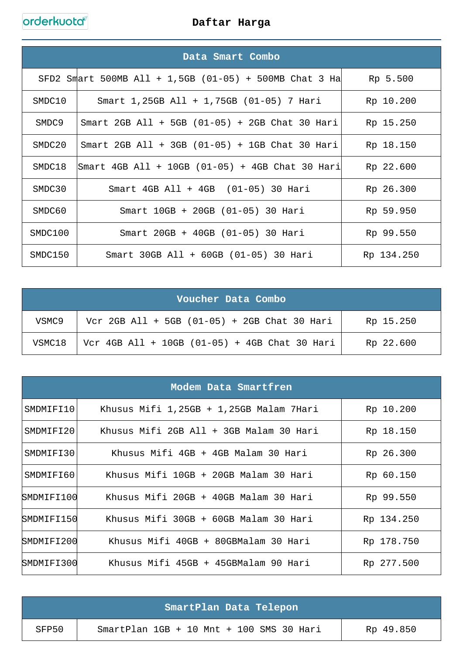|         | Data Smart Combo                                                 |            |
|---------|------------------------------------------------------------------|------------|
|         | SFD2 Smart 500MB All + 1,5GB (01-05) + 500MB Chat 3 Ha           | Rp 5.500   |
| SMDC10  | Smart $1,25GB$ All + $1,75GB$ (01-05) 7 Hari                     | Rp 10.200  |
| SMDC9   | Smart 2GB All + 5GB $(01-05)$ + 2GB Chat 30 Hari                 | Rp 15.250  |
| SMDC20  | Smart 2GB All + 3GB $(01-05)$ + 1GB Chat 30 Hari                 | Rp 18.150  |
| SMDC18  | $\text{Smart } 4\text{GB}$ All + 10GB (01-05) + 4GB Chat 30 Hari | Rp 22.600  |
| SMDC30  | Smart $4GB$ All + $4GB$ (01-05) 30 Hari                          | Rp 26.300  |
| SMDC60  | Smart 10GB + 20GB (01-05) 30 Hari                                | Rp 59.950  |
| SMDC100 | Smart 20GB + 40GB (01-05) 30 Hari                                | Rp 99.550  |
| SMDC150 | Smart 30GB All + 60GB (01-05) 30 Hari                            | Rp 134.250 |

| Voucher Data Combo |                                                 |           |
|--------------------|-------------------------------------------------|-----------|
| VSMC9              | Vcr 2GB All + 5GB $(01-05)$ + 2GB Chat 30 Hari  | Rp 15.250 |
| VSMC18             | Vcr 4GB All + 10GB $(01-05)$ + 4GB Chat 30 Hari | Rp 22.600 |

|            | Modem Data Smartfren                    |            |
|------------|-----------------------------------------|------------|
| SMDMIFI10  | Khusus Mifi 1,25GB + 1,25GB Malam 7Hari | Rp 10.200  |
| SMDMIFI20  | Khusus Mifi 2GB All + 3GB Malam 30 Hari | Rp 18.150  |
| SMDMIFI301 | Khusus Mifi 4GB + 4GB Malam 30 Hari     | Rp 26.300  |
| SMDMIFI60  | Khusus Mifi 10GB + 20GB Malam 30 Hari   | Rp 60.150  |
| SMDMIFI100 | Khusus Mifi 20GB + 40GB Malam 30 Hari   | Rp 99.550  |
| SMDMIFI150 | Khusus Mifi 30GB + 60GB Malam 30 Hari   | Rp 134.250 |
| SMDMIFI200 | Khusus Mifi 40GB + 80GBMalam 30 Hari    | Rp 178.750 |
| SMDMIFI300 | Khusus Mifi 45GB + 45GBMalam 90 Hari    | Rp 277.500 |

|       | SmartPlan Data Telepon                     |           |
|-------|--------------------------------------------|-----------|
| SFP50 | SmartPlan $1GB + 10$ Mnt + 100 SMS 30 Hari | Rp 49.850 |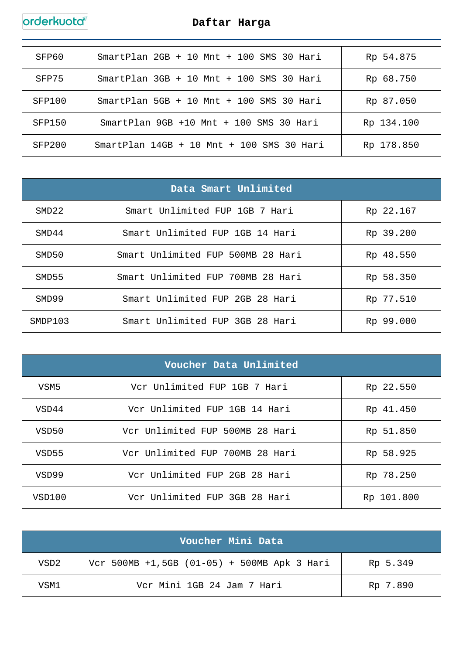## orderkuota

| SFP60  | $SmartPlan$ 2GB + 10 Mnt + 100 SMS 30 Hari     | Rp 54.875  |
|--------|------------------------------------------------|------------|
| SFP75  | SmartPlan $3GB + 10$ Mnt $+ 100$ SMS $30$ Hari | Rp 68.750  |
| SFP100 | $SmartPlan$ 5GB + 10 Mnt + 100 SMS 30 Hari     | Rp 87.050  |
| SFP150 | SmartPlan $9GB +10$ Mnt $+100$ SMS 30 Hari     | Rp 134.100 |
| SFP200 | $SmartPlan$ 14GB + 10 Mnt + 100 SMS 30 Hari    | Rp 178.850 |

|         | Data Smart Unlimited              |           |
|---------|-----------------------------------|-----------|
| SMD22   | Smart Unlimited FUP 1GB 7 Hari    | Rp 22.167 |
| SMD44   | Smart Unlimited FUP 1GB 14 Hari   | Rp 39.200 |
| SMD50   | Smart Unlimited FUP 500MB 28 Hari | Rp 48.550 |
| SMD55   | Smart Unlimited FUP 700MB 28 Hari | Rp 58.350 |
| SMD99   | Smart Unlimited FUP 2GB 28 Hari   | Rp 77.510 |
| SMDP103 | Smart Unlimited FUP 3GB 28 Hari   | Rp 99.000 |

| Voucher Data Unlimited |                                 |            |
|------------------------|---------------------------------|------------|
| VSM5                   | Vcr Unlimited FUP 1GB 7 Hari    | Rp 22.550  |
| VSD44                  | Vcr Unlimited FUP 1GB 14 Hari   | Rp 41.450  |
| VSD50                  | Vcr Unlimited FUP 500MB 28 Hari | Rp 51.850  |
| VSD55                  | Vcr Unlimited FUP 700MB 28 Hari | Rp 58.925  |
| VSD99                  | Vcr Unlimited FUP 2GB 28 Hari   | Rp 78.250  |
| VSD100                 | Vcr Unlimited FUP 3GB 28 Hari   | Rp 101.800 |

|                  | Voucher Mini Data                           |          |
|------------------|---------------------------------------------|----------|
| VSD <sub>2</sub> | Vcr 500MB +1,5GB (01-05) + 500MB Apk 3 Hari | Rp 5.349 |
| VSM1             | Vcr Mini 1GB 24 Jam 7 Hari                  | Rp 7.890 |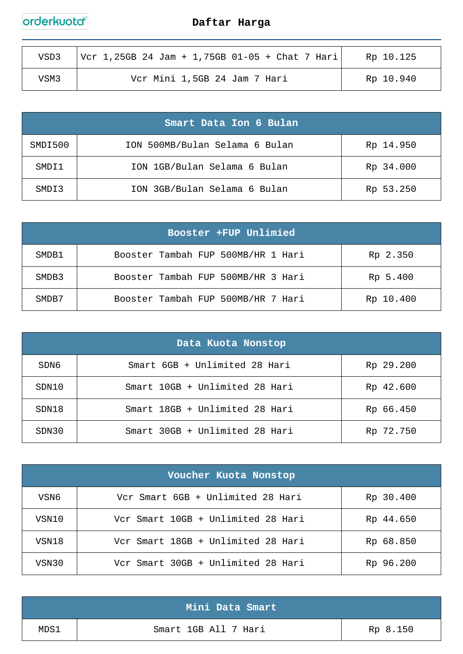# orderkuota

| VSD3 | $ Vcr 1, 25GB 24 Jam + 1, 75GB 01-05 + Chat 7 Hari$ | Rp 10.125 |
|------|-----------------------------------------------------|-----------|
| VSM3 | Vcr Mini 1,5GB 24 Jam 7 Hari                        | Rp 10.940 |

| Smart Data Ion 6 Bulan |                                |           |
|------------------------|--------------------------------|-----------|
| SMDI500                | ION 500MB/Bulan Selama 6 Bulan | Rp 14.950 |
| SMDI1                  | ION 1GB/Bulan Selama 6 Bulan   | Rp 34.000 |
| SMDT3                  | ION 3GB/Bulan Selama 6 Bulan   | Rp 53.250 |

| Booster +FUP Unlimied |                                    |           |
|-----------------------|------------------------------------|-----------|
| SMDB1                 | Booster Tambah FUP 500MB/HR 1 Hari | Rp 2.350  |
| SMDB3                 | Booster Tambah FUP 500MB/HR 3 Hari | Rp 5.400  |
| SMDB7                 | Booster Tambah FUP 500MB/HR 7 Hari | Rp 10.400 |

| Data Kuota Nonstop |                                |           |
|--------------------|--------------------------------|-----------|
| SDN6               | Smart 6GB + Unlimited 28 Hari  | Rp 29.200 |
| SDN10              | Smart 10GB + Unlimited 28 Hari | Rp 42.600 |
| SDN18              | Smart 18GB + Unlimited 28 Hari | Rp 66.450 |
| SDN30              | Smart 30GB + Unlimited 28 Hari | Rp 72.750 |

| Voucher Kuota Nonstop |                                    |           |
|-----------------------|------------------------------------|-----------|
| VSN6                  | Vcr Smart 6GB + Unlimited 28 Hari  | Rp 30.400 |
| VSN10                 | Vcr Smart 10GB + Unlimited 28 Hari | Rp 44.650 |
| VSN18                 | Vcr Smart 18GB + Unlimited 28 Hari | Rp 68.850 |
| VSN30                 | Vcr Smart 30GB + Unlimited 28 Hari | Rp 96.200 |

|      | Mini Data Smart      |          |
|------|----------------------|----------|
| MDS1 | Smart 1GB All 7 Hari | Rp 8.150 |